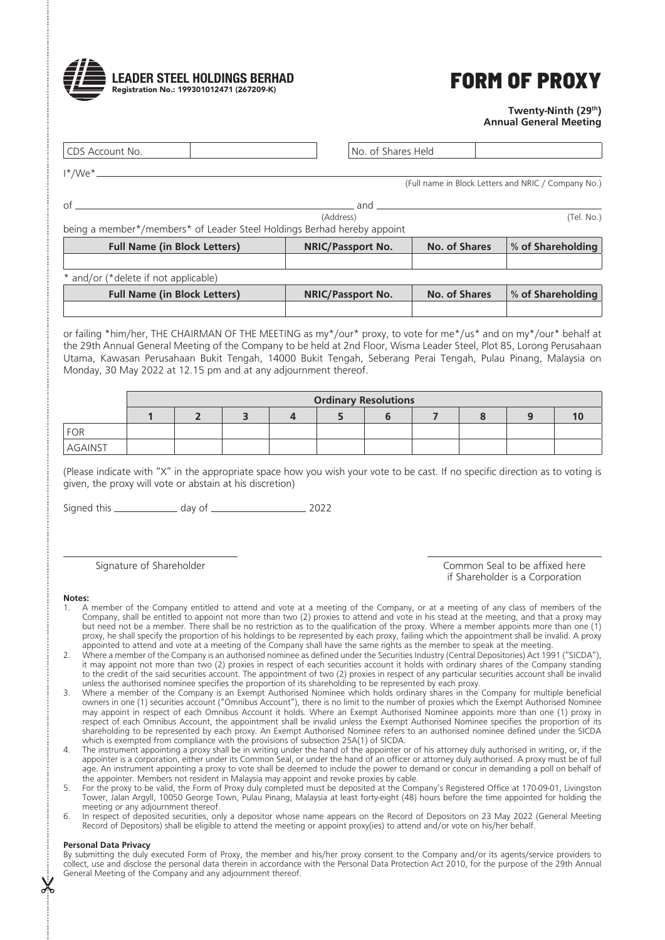

## **FORM OF PROXY**

## **Twenty-Ninth (29th) Annual General Meeting**

| <b>Full Name (in Block Letters)</b>                                     | <b>NRIC/Passport No.</b> | No. of Shares | % of Shareholding                                   |
|-------------------------------------------------------------------------|--------------------------|---------------|-----------------------------------------------------|
| being a member*/members* of Leader Steel Holdings Berhad hereby appoint |                          |               |                                                     |
|                                                                         | (Address)                |               | (Tel. No.)                                          |
| Ωf                                                                      | and                      |               |                                                     |
|                                                                         |                          |               | (Full name in Block Letters and NRIC / Company No.) |
| $1^*/$ We $^*$                                                          |                          |               |                                                     |
| CDS Account No.                                                         | No. of Shares Held       |               |                                                     |

and/or (\*delete if not applicable) **Full Name (in Block Letters) NRIC/Passport No. No. of Shares % of Shareholding**

or failing \*him/her, THE CHAIRMAN OF THE MEETING as my\*/our\* proxy, to vote for me\*/us\* and on my\*/our\* behalf at the 29th Annual General Meeting of the Company to be held at 2nd Floor, Wisma Leader Steel, Plot 85, Lorong Perusahaan Utama, Kawasan Perusahaan Bukit Tengah, 14000 Bukit Tengah, Seberang Perai Tengah, Pulau Pinang, Malaysia on Monday, 30 May 2022 at 12.15 pm and at any adjournment thereof.

|                | <b>Ordinary Resolutions</b> |  |  |  |  |  |  |  |  |  |  |
|----------------|-----------------------------|--|--|--|--|--|--|--|--|--|--|
|                |                             |  |  |  |  |  |  |  |  |  |  |
| FOR            |                             |  |  |  |  |  |  |  |  |  |  |
| <b>AGAINST</b> |                             |  |  |  |  |  |  |  |  |  |  |

(Please indicate with "X" in the appropriate space how you wish your vote to be cast. If no specific direction as to voting is given, the proxy will vote or abstain at his discretion)

Signed this day of 2022

Signature of Shareholder **Common Seal to be affixed here** Common Seal to be affixed here if Shareholder is a Corporation

## **Notes:**

- 1. A member of the Company entitled to attend and vote at a meeting of the Company, or at a meeting of any class of members of the Company, shall be entitled to appoint not more than two (2) proxies to attend and vote in his stead at the meeting, and that a proxy may but need not be a member. There shall be no restriction as to the qualification of the proxy. Where a member appoints more than one (1) proxy, he shall specify the proportion of his holdings to be represented by each proxy, failing which the appointment shall be invalid. A proxy appointed to attend and vote at a meeting of the Company shall have the same rights as the member to speak at the meeting.
- 2. Where a member of the Company is an authorised nominee as defined under the Securities Industry (Central Depositories) Act 1991 ("SICDA"), it may appoint not more than two (2) proxies in respect of each securities account it holds with ordinary shares of the Company standing to the credit of the said securities account. The appointment of two (2) proxies in respect of any particular securities account shall be invalid unless the authorised nominee specifies the proportion of its shareholding to be represented by each proxy.
- 3. Where a member of the Company is an Exempt Authorised Nominee which holds ordinary shares in the Company for multiple beneficial owners in one (1) securities account ("Omnibus Account"), there is no limit to the number of proxies which the Exempt Authorised Nominee may appoint in respect of each Omnibus Account it holds. Where an Exempt Authorised Nominee appoints more than one (1) proxy in respect of each Omnibus Account, the appointment shall be invalid unless the Exempt Authorised Nominee specifies the proportion of its shareholding to be represented by each proxy. An Exempt Authorised Nominee refers to an authorised nominee defined under the SICDA which is exempted from compliance with the provisions of subsection 25A(1) of SICDA.
- 4. The instrument appointing a proxy shall be in writing under the hand of the appointer or of his attorney duly authorised in writing, or, if the appointer is a corporation, either under its Common Seal, or under the hand of an officer or attorney duly authorised. A proxy must be of full age. An instrument appointing a proxy to vote shall be deemed to include the power to demand or concur in demanding a poll on behalf of the appointer. Members not resident in Malaysia may appoint and revoke proxies by cable.
- 5. For the proxy to be valid, the Form of Proxy duly completed must be deposited at the Company's Registered Office at 170-09-01, Livingston Tower, Jalan Argyll, 10050 George Town, Pulau Pinang, Malaysia at least forty-eight (48) hours before the time appointed for holding the meeting or any adjournment thereof.
- 6. In respect of deposited securities, only a depositor whose name appears on the Record of Depositors on 23 May 2022 (General Meeting Record of Depositors) shall be eligible to attend the meeting or appoint proxy(ies) to attend and/or vote on his/her behalf.

## **Personal Data Privacy**

 $\chi$ 

By submitting the duly executed Form of Proxy, the member and his/her proxy consent to the Company and/or its agents/service providers to collect, use and disclose the personal data therein in accordance with the Personal Data Protection Act 2010, for the purpose of the 29th Annual General Meeting of the Company and any adjournment thereof.